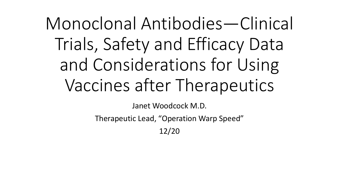# Monoclonal Antibodies—Clinical Trials, Safety and Efficacy Data and Considerations for Using Vaccines after Therapeutics

Janet Woodcock M.D.

Therapeutic Lead, "Operation Warp Speed"

12/20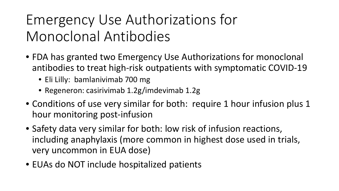## Emergency Use Authorizations for Monoclonal Antibodies

- FDA has granted two Emergency Use Authorizations for monoclonal antibodies to treat high-risk outpatients with symptomatic COVID-19
	- Eli Lilly: bamlanivimab 700 mg
	- Regeneron: casirivimab 1.2g/imdevimab 1.2g
- Conditions of use very similar for both: require 1 hour infusion plus 1 hour monitoring post-infusion
- Safety data very similar for both: low risk of infusion reactions, including anaphylaxis (more common in highest dose used in trials, very uncommon in EUA dose)
- EUAs do NOT include hospitalized patients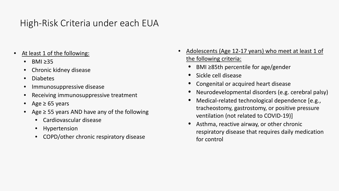#### High-Risk Criteria under each EUA

- At least 1 of the following:
	- $•$  BMI  $\geq$ 35
	- Chronic kidney disease
	- Diabetes
	- Immunosuppressive disease
	- Receiving immunosuppressive treatment
	- Age  $\geq 65$  years
	- Age  $\geq$  55 years AND have any of the following
		- Cardiovascular disease
		- Hypertension
		- COPD/other chronic respiratory disease
- Adolescents (Age 12-17 years) who meet at least 1 of the following criteria:
	- BMI ≥85th percentile for age/gender
	- Sickle cell disease
	- Congenital or acquired heart disease
	- Neurodevelopmental disorders (e.g. cerebral palsy)
	- Medical-related technological dependence [e.g., tracheostomy, gastrostomy, or positive pressure ventilation (not related to COVID-19)]
	- Asthma, reactive airway, or other chronic respiratory disease that requires daily medication for control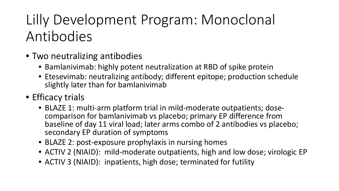# Lilly Development Program: Monoclonal Antibodies

- Two neutralizing antibodies
	- Bamlanivimab: highly potent neutralization at RBD of spike protein
	- Etesevimab: neutralizing antibody; different epitope; production schedule slightly later than for bamlanivimab
- Efficacy trials
	- BLAZE 1: multi-arm platform trial in mild-moderate outpatients; dose- comparison for bamlanivimab vs placebo; primary EP difference from baseline of day 11 viral load; later arms combo of 2 antibodies vs placebo; secondary EP duration of symptoms
	- BLAZE 2: post-exposure prophylaxis in nursing homes
	- ACTIV 2 (NIAID): mild-moderate outpatients, high and low dose; virologic EP
	- ACTIV 3 (NIAID): inpatients, high dose; terminated for futility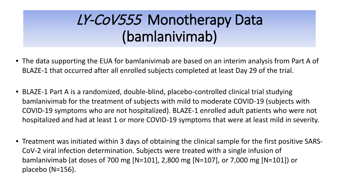## LY-CoV555 Monotherapy Data (bamlanivimab)

- The data supporting the EUA for bamlanivimab are based on an interim analysis from Part A of BLAZE-1 that occurred after all enrolled subjects completed at least Day 29 of the trial.
- BLAZE-1 Part A is a randomized, double-blind, placebo-controlled clinical trial studying bamlanivimab for the treatment of subjects with mild to moderate COVID-19 (subjects with COVID-19 symptoms who are not hospitalized). BLAZE-1 enrolled adult patients who were not hospitalized and had at least 1 or more COVID-19 symptoms that were at least mild in severity.
- Treatment was initiated within 3 days of obtaining the clinical sample for the first positive SARS-CoV-2 viral infection determination. Subjects were treated with a single infusion of bamlanivimab (at doses of 700 mg [N=101], 2,800 mg [N=107], or 7,000 mg [N=101]) or placebo (N=156).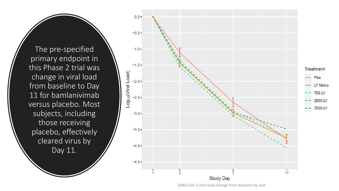The pre-specified primary endpoint in this Phase 2 trial was change in viral load from baseline to Day 11 for bamlanivimab versus placebo. Most subjects, including those receiving placebo, effectively cleared virus by Day 11.



SARS-CoV-2 viral load change from baseline by visit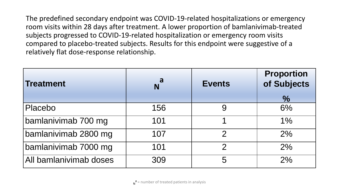The predefined secondary endpoint was COVID-19-related hospitalizations or emergency room visits within 28 days after treatment. A lower proportion of bamlanivimab-treated subjects progressed to COVID-19-related hospitalization or emergency room visits compared to placebo-treated subjects. Results for this endpoint were suggestive of a relatively flat dose-response relationship.

| <b>Treatment</b>       | a<br>N | <b>Events</b> | Proportion<br>of Subjects |
|------------------------|--------|---------------|---------------------------|
|                        |        |               | $\frac{1}{2}$             |
| Placebo                | 156    |               | 6%                        |
| bamlanivimab 700 mg    | 101    |               | 1%                        |
| bamlanivimab 2800 mg   | 107    | $\mathcal{P}$ | 2%                        |
| bamlanivimab 7000 mg   | 101    | $\mathcal{P}$ | 2%                        |
| All bamlanivimab doses | 309    | 5             | 2%                        |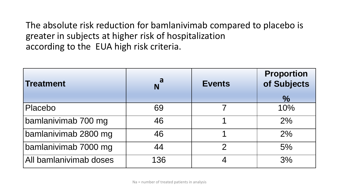The absolute risk reduction for bamlanivimab compared to placebo is greater in subjects at higher risk of hospitalization according to the EUA high risk criteria.

| <b>Treatment</b>       | a   | <b>Events</b> | <b>Proportion</b><br>of Subjects<br>$\frac{1}{2}$ |
|------------------------|-----|---------------|---------------------------------------------------|
| Placebo                | 69  |               | 10%                                               |
| bamlanivimab 700 mg    | 46  |               | 2%                                                |
| bamlanivimab 2800 mg   | 46  |               | 2%                                                |
| bamlanivimab 7000 mg   | 44  | $\mathcal{D}$ | 5%                                                |
| All bamlanivimab doses | 136 |               | 3%                                                |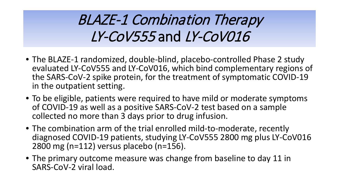## BLAZE-1 Combination Therapy LY-CoV555 and LY-CoV016

- The BLAZE-1 randomized, double-blind, placebo-controlled Phase 2 study evaluated LY-CoV555 and LY-CoV016, which bind complementary regions of the SARS-CoV-2 spike protein, for the treatment of symptomatic COVID-19 in the outpatient setting.
- To be eligible, patients were required to have mild or moderate symptoms of COVID-19 as well as a positive SARS-CoV-2 test based on a sample collected no more than 3 days prior to drug infusion.
- The combination arm of the trial enrolled mild-to-moderate, recently diagnosed COVID-19 patients, studying LY-CoV555 2800 mg plus LY-CoV016 2800 mg (n=112) versus placebo (n=156).
- The primary outcome measure was change from baseline to day 11 in SARS-CoV-2 viral load.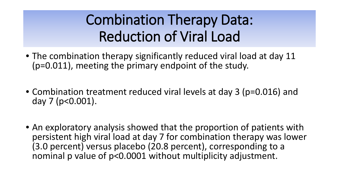#### Combination Therapy Data: Reduction of Viral Load

- The combination therapy significantly reduced viral load at day 11 (p=0.011), meeting the primary endpoint of the study.
- Combination treatment reduced viral levels at day 3 (p=0.016) and day 7 (p<0.001).
- An exploratory analysis showed that the proportion of patients with persistent high viral load at day 7 for combination therapy was lower (3.0 percent) versus placebo (20.8 percent), corresponding to a nominal p value of p<0.0001 without multiplicity adjustment.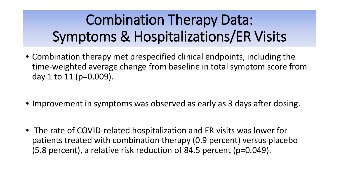# Combination Therapy Data: Symptoms & Hospitalizations/ER Visits

- Combination therapy met prespecified clinical endpoints, including the time-weighted average change from baseline in total symptom score from day 1 to 11 (p=0.009).
- Improvement in symptoms was observed as early as 3 days after dosing.
- The rate of COVID-related hospitalization and ER visits was lower for patients treated with combination therapy (0.9 percent) versus placebo (5.8 percent), a relative risk reduction of 84.5 percent (p=0.049).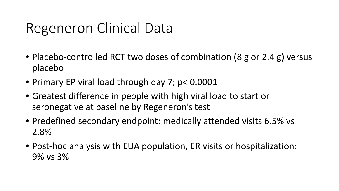#### Regeneron Clinical Data

- Placebo-controlled RCT two doses of combination (8 g or 2.4 g) versus placebo
- Primary EP viral load through day 7; p< 0.0001
- Greatest difference in people with high viral load to start or seronegative at baseline by Regeneron's test
- Predefined secondary endpoint: medically attended visits 6.5% vs 2.8%
- Post-hoc analysis with EUA population, ER visits or hospitalization: 9% vs 3%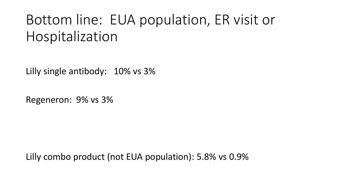#### Bottom line: EUA population, ER visit or Hospitalization

Lilly single antibody: 10% vs 3%

Regeneron: 9% vs 3%

Lilly combo product (not EUA population): 5.8% vs 0.9%